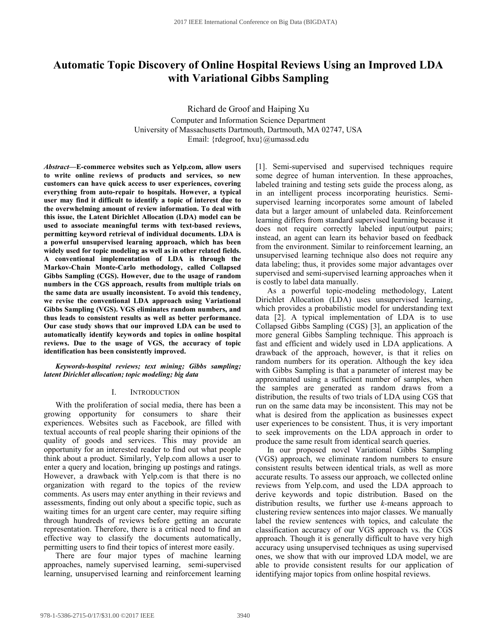# **Automatic Topic Discovery of Online Hospital Reviews Using an Improved LDA with Variational Gibbs Sampling**

Richard de Groof and Haiping Xu Computer and Information Science Department University of Massachusetts Dartmouth, Dartmouth, MA 02747, USA Email: {rdegroof, hxu}@umassd.edu

*Abstract***—E-commerce websites such as Yelp.com, allow users to write online reviews of products and services, so new customers can have quick access to user experiences, covering everything from auto-repair to hospitals. However, a typical user may find it difficult to identify a topic of interest due to the overwhelming amount of review information. To deal with this issue, the Latent Dirichlet Allocation (LDA) model can be used to associate meaningful terms with text-based reviews, permitting keyword retrieval of individual documents. LDA is a powerful unsupervised learning approach, which has been widely used for topic modeling as well as in other related fields. A conventional implementation of LDA is through the Markov-Chain Monte-Carlo methodology, called Collapsed Gibbs Sampling (CGS). However, due to the usage of random numbers in the CGS approach, results from multiple trials on the same data are usually inconsistent. To avoid this tendency, we revise the conventional LDA approach using Variational Gibbs Sampling (VGS). VGS eliminates random numbers, and thus leads to consistent results as well as better performance. Our case study shows that our improved LDA can be used to automatically identify keywords and topics in online hospital reviews. Due to the usage of VGS, the accuracy of topic identification has been consistently improved.** 

*Keywords-hospital reviews; text mining; Gibbs sampling; latent Dirichlet allocation; topic modeling; big data* 

#### I. INTRODUCTION

With the proliferation of social media, there has been a growing opportunity for consumers to share their experiences. Websites such as Facebook, are filled with textual accounts of real people sharing their opinions of the quality of goods and services. This may provide an opportunity for an interested reader to find out what people think about a product. Similarly, Yelp.com allows a user to enter a query and location, bringing up postings and ratings. However, a drawback with Yelp.com is that there is no organization with regard to the topics of the review comments. As users may enter anything in their reviews and assessments, finding out only about a specific topic, such as waiting times for an urgent care center, may require sifting through hundreds of reviews before getting an accurate representation. Therefore, there is a critical need to find an effective way to classify the documents automatically, permitting users to find their topics of interest more easily.

There are four major types of machine learning approaches, namely supervised learning, semi-supervised learning, unsupervised learning and reinforcement learning [1]. Semi-supervised and supervised techniques require some degree of human intervention. In these approaches, labeled training and testing sets guide the process along, as in an intelligent process incorporating heuristics. Semisupervised learning incorporates some amount of labeled data but a larger amount of unlabeled data. Reinforcement learning differs from standard supervised learning because it does not require correctly labeled input/output pairs; instead, an agent can learn its behavior based on feedback from the environment. Similar to reinforcement learning, an unsupervised learning technique also does not require any data labeling; thus, it provides some major advantages over supervised and semi-supervised learning approaches when it is costly to label data manually.

As a powerful topic-modeling methodology, Latent Dirichlet Allocation (LDA) uses unsupervised learning, which provides a probabilistic model for understanding text data [2]. A typical implementation of LDA is to use Collapsed Gibbs Sampling (CGS) [3], an application of the more general Gibbs Sampling technique. This approach is fast and efficient and widely used in LDA applications. A drawback of the approach, however, is that it relies on random numbers for its operation. Although the key idea with Gibbs Sampling is that a parameter of interest may be approximated using a sufficient number of samples, when the samples are generated as random draws from a distribution, the results of two trials of LDA using CGS that run on the same data may be inconsistent. This may not be what is desired from the application as businesses expect user experiences to be consistent. Thus, it is very important to seek improvements on the LDA approach in order to produce the same result from identical search queries.

In our proposed novel Variational Gibbs Sampling (VGS) approach, we eliminate random numbers to ensure consistent results between identical trials, as well as more accurate results. To assess our approach, we collected online reviews from Yelp.com, and used the LDA approach to derive keywords and topic distribution. Based on the distribution results, we further use *k-*means approach to clustering review sentences into major classes. We manually label the review sentences with topics, and calculate the classification accuracy of our VGS approach vs. the CGS approach. Though it is generally difficult to have very high accuracy using unsupervised techniques as using supervised ones, we show that with our improved LDA model, we are able to provide consistent results for our application of identifying major topics from online hospital reviews.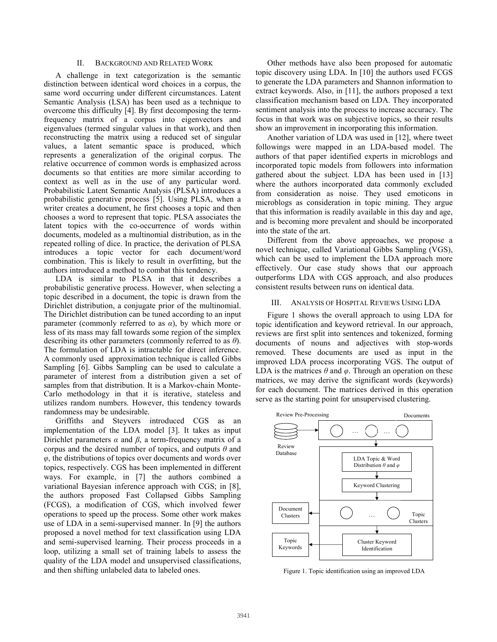## II. BACKGROUND AND RELATED WORK

A challenge in text categorization is the semantic distinction between identical word choices in a corpus, the same word occurring under different circumstances. Latent Semantic Analysis (LSA) has been used as a technique to overcome this difficulty [4]. By first decomposing the termfrequency matrix of a corpus into eigenvectors and eigenvalues (termed singular values in that work), and then reconstructing the matrix using a reduced set of singular values, a latent semantic space is produced, which represents a generalization of the original corpus. The relative occurrence of common words is emphasized across documents so that entities are more similar according to context as well as in the use of any particular word. Probabilistic Latent Semantic Analysis (PLSA) introduces a probabilistic generative process [5]. Using PLSA, when a writer creates a document, he first chooses a topic and then chooses a word to represent that topic. PLSA associates the latent topics with the co-occurrence of words within documents, modeled as a multinomial distribution, as in the repeated rolling of dice. In practice, the derivation of PLSA introduces a topic vector for each document/word combination. This is likely to result in overfitting, but the authors introduced a method to combat this tendency.

LDA is similar to PLSA in that it describes a probabilistic generative process. However, when selecting a topic described in a document, the topic is drawn from the Dirichlet distribution, a conjugate prior of the multinomial. The Dirichlet distribution can be tuned according to an input parameter (commonly referred to as *α*), by which more or less of its mass may fall towards some region of the simplex describing its other parameters (commonly referred to as *θ*). The formulation of LDA is intractable for direct inference. A commonly used approximation technique is called Gibbs Sampling [6]. Gibbs Sampling can be used to calculate a parameter of interest from a distribution given a set of samples from that distribution. It is a Markov-chain Monte-Carlo methodology in that it is iterative, stateless and utilizes random numbers. However, this tendency towards randomness may be undesirable.

Griffiths and Steyvers introduced CGS as an implementation of the LDA model [3]. It takes as input Dirichlet parameters  $\alpha$  and  $\beta$ , a term-frequency matrix of a corpus and the desired number of topics, and outputs *θ* and *φ*, the distributions of topics over documents and words over topics, respectively. CGS has been implemented in different ways. For example, in [7] the authors combined a variational Bayesian inference approach with CGS; in [8], the authors proposed Fast Collapsed Gibbs Sampling (FCGS), a modification of CGS, which involved fewer operations to speed up the process. Some other work makes use of LDA in a semi-supervised manner. In [9] the authors proposed a novel method for text classification using LDA and semi-supervised learning. Their process proceeds in a loop, utilizing a small set of training labels to assess the quality of the LDA model and unsupervised classifications, and then shifting unlabeled data to labeled ones.

Other methods have also been proposed for automatic topic discovery using LDA. In [10] the authors used FCGS to generate the LDA parameters and Shannon information to extract keywords. Also, in [11], the authors proposed a text classification mechanism based on LDA. They incorporated sentiment analysis into the process to increase accuracy. The focus in that work was on subjective topics, so their results show an improvement in incorporating this information.

Another variation of LDA was used in [12], where tweet followings were mapped in an LDA-based model. The authors of that paper identified experts in microblogs and incorporated topic models from followers into information gathered about the subject. LDA has been used in [13] where the authors incorporated data commonly excluded from consideration as noise. They used emoticons in microblogs as consideration in topic mining. They argue that this information is readily available in this day and age, and is becoming more prevalent and should be incorporated into the state of the art.

Different from the above approaches, we propose a novel technique, called Variational Gibbs Sampling (VGS), which can be used to implement the LDA approach more effectively. Our case study shows that our approach outperforms LDA with CGS approach, and also produces consistent results between runs on identical data.

## III. ANALYSIS OF HOSPITAL REVIEWS USING LDA

Figure 1 shows the overall approach to using LDA for topic identification and keyword retrieval. In our approach, reviews are first split into sentences and tokenized, forming documents of nouns and adjectives with stop-words removed. These documents are used as input in the improved LDA process incorporating VGS. The output of LDA is the matrices  $\theta$  and  $\varphi$ . Through an operation on these matrices, we may derive the significant words (keywords) for each document. The matrices derived in this operation serve as the starting point for unsupervised clustering.



Figure 1. Topic identification using an improved LDA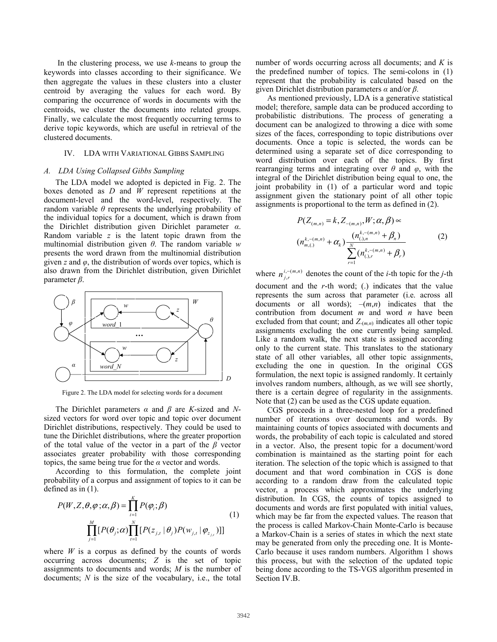In the clustering process, we use *k-*means to group the keywords into classes according to their significance. We then aggregate the values in these clusters into a cluster centroid by averaging the values for each word. By comparing the occurrence of words in documents with the centroids, we cluster the documents into related groups. Finally, we calculate the most frequently occurring terms to derive topic keywords, which are useful in retrieval of the clustered documents.

#### IV. LDA WITH VARIATIONAL GIBBS SAMPLING

#### *A. LDA Using Collapsed Gibbs Sampling*

The LDA model we adopted is depicted in Fig. 2. The boxes denoted as *D* and *W* represent repetitions at the document-level and the word-level, respectively. The random variable *θ* represents the underlying probability of the individual topics for a document, which is drawn from the Dirichlet distribution given Dirichlet parameter *α*. Random variable *z* is the latent topic drawn from the multinomial distribution given *θ*. The random variable *w* presents the word drawn from the multinomial distribution given *z* and  $\varphi$ , the distribution of words over topics, which is also drawn from the Dirichlet distribution, given Dirichlet parameter *β*.



Figure 2. The LDA model for selecting words for a document

The Dirichlet parameters *α* and *β* are *K*-sized and *N*sized vectors for word over topic and topic over document Dirichlet distributions, respectively. They could be used to tune the Dirichlet distributions, where the greater proportion of the total value of the vector in a part of the *β* vector associates greater probability with those corresponding topics, the same being true for the *α* vector and words.

According to this formulation, the complete joint probability of a corpus and assignment of topics to it can be defined as in (1).

$$
P(W, Z, \theta, \varphi; \alpha, \beta) = \prod_{i=1}^{K} P(\varphi_i; \beta)
$$
  

$$
\prod_{j=1}^{M} [P(\theta_j; \alpha) \prod_{i=1}^{N} [P(z_{j,t} | \theta_j) P(w_{j,t} | \varphi_{z_{j,t}})]]
$$
 (1)

where  $W$  is a corpus as defined by the counts of words occurring across documents; *Z* is the set of topic assignments to documents and words; *M* is the number of documents; *N* is the size of the vocabulary, i.e., the total

number of words occurring across all documents; and *K* is the predefined number of topics. The semi-colons in (1) represent that the probability is calculated based on the given Dirichlet distribution parameters *α* and/or *β*.

As mentioned previously, LDA is a generative statistical model; therefore, sample data can be produced according to probabilistic distributions. The process of generating a document can be analogized to throwing a dice with some sizes of the faces, corresponding to topic distributions over documents. Once a topic is selected, the words can be determined using a separate set of dice corresponding to word distribution over each of the topics. By first rearranging terms and integrating over *θ* and *φ*, with the integral of the Dirichlet distribution being equal to one, the joint probability in (1) of a particular word and topic assignment given the stationary point of all other topic assignments is proportional to the term as defined in (2).

$$
P(Z_{(m,n)} = k, Z_{-(m,n)}, W; \alpha, \beta) \propto
$$
  
\n
$$
(n_{m,(1)}^{k,-(m,n)} + \alpha_k) \frac{(n_{(1,n)}^{k,-(m,n)} + \beta_n)}{\sum_{r=1}^{N} (n_{(1,r)}^{k,-(m,n)} + \beta_r)}
$$
 (2)

where  $n_{j,r}^{i,-(m,n)}$  denotes the count of the *i*-th topic for the *j*-th document and the *r*-th word; (.) indicates that the value represents the sum across that parameter (i.e. across all documents or all words); –(*m*,*n*) indicates that the contribution from document *m* and word *n* have been excluded from that count; and *Z-*(*m,n*) indicates all other topic assignments excluding the one currently being sampled. Like a random walk, the next state is assigned according only to the current state. This translates to the stationary state of all other variables, all other topic assignments, excluding the one in question. In the original CGS formulation, the next topic is assigned randomly. It certainly involves random numbers, although, as we will see shortly, there is a certain degree of regularity in the assignments. Note that (2) can be used as the CGS update equation.

CGS proceeds in a three-nested loop for a predefined number of iterations over documents and words. By maintaining counts of topics associated with documents and words, the probability of each topic is calculated and stored in a vector. Also, the present topic for a document/word combination is maintained as the starting point for each iteration. The selection of the topic which is assigned to that document and that word combination in CGS is done according to a random draw from the calculated topic vector, a process which approximates the underlying distribution. In CGS, the counts of topics assigned to documents and words are first populated with initial values, which may be far from the expected values. The reason that the process is called Markov-Chain Monte-Carlo is because a Markov-Chain is a series of states in which the next state may be generated from only the preceding one. It is Monte-Carlo because it uses random numbers. Algorithm 1 shows this process, but with the selection of the updated topic being done according to the TS-VGS algorithm presented in Section IV.B.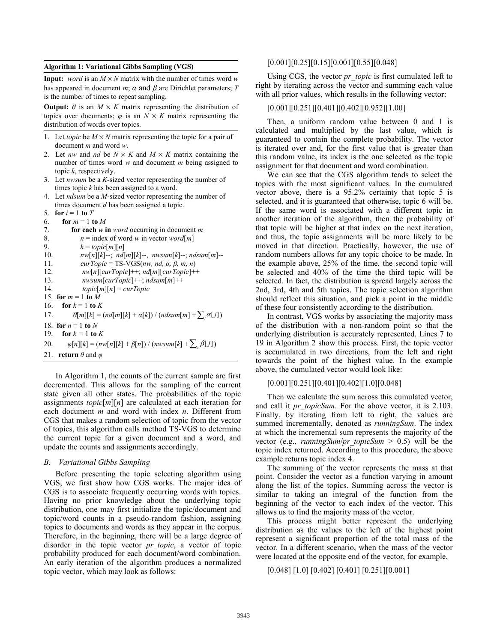## **Algorithm 1: Variational Gibbs Sampling (VGS)**

**Input:** *word* is an  $M \times N$  matrix with the number of times word *w* has appeared in document  $m$ ;  $\alpha$  and  $\beta$  are Dirichlet parameters; *T* is the number of times to repeat sampling.

**Output:**  $\theta$  is an  $M \times K$  matrix representing the distribution of topics over documents;  $\varphi$  is an  $N \times K$  matrix representing the distribution of words over topics.

- 1. Let *topic* be  $M \times N$  matrix representing the topic for a pair of document *m* and word *w*.
- 2. Let *nw* and *nd* be  $N \times K$  and  $M \times K$  matrix containing the number of times word *w* and document *m* being assigned to topic *k*, respectively.
- 3. Let *nwsum* be a *K*-sized vector representing the number of times topic *k* has been assigned to a word.
- 4.Let *ndsum* be a *M*-sized vector representing the number of times document *d* has been assigned a topic.
- 5. **for**  $i = 1$  **to**  $T$

```
6. for m = 1 to M
```

| 7.  | for each $w$ in <i>word</i> occurring in document $m$                   |
|-----|-------------------------------------------------------------------------|
| 8.  | $n =$ index of word w in vector word[m]                                 |
| 9.  | $k = topic[m][n]$                                                       |
| 10. | $nw[n][k]$ --; $nd[m][k]$ --, $nwsum[k]$ --; $ndsum[m]$ --              |
| 11. | $curTopic = TS-VGS(nw, nd, \alpha, \beta, m, n)$                        |
| 12. | $nw[n][curTopic]++; nd[m][curTopic]++$                                  |
| 13. | $nwsum[curTopic]++; ndsum[m]++$                                         |
| 14. | $topic[m][n] = curTopic$                                                |
|     | 15. for $m = 1$ to M                                                    |
| 16. | for $k = 1$ to K                                                        |
| 17. | $\theta[m][k] = (nd[m][k] + \alpha[k]) / (ndsum[m] + \sum_i \alpha[j])$ |
|     | 18. for $n = 1$ to N                                                    |
| 19. | for $k = 1$ to $K$                                                      |
| 20. | $\varphi[n][k] = (nw[n][k] + \beta[n]) / (nwsum[k] + \sum_i \beta[j])$  |
| 21. | <b>return</b> $\theta$ and $\varphi$                                    |
|     |                                                                         |

In Algorithm 1, the counts of the current sample are first decremented. This allows for the sampling of the current state given all other states. The probabilities of the topic assignments *topic*[*m*][*n*] are calculated at each iteration for each document *m* and word with index *n*. Different from CGS that makes a random selection of topic from the vector of topics, this algorithm calls method TS-VGS to determine the current topic for a given document and a word, and update the counts and assignments accordingly.

## *B. Variational Gibbs Sampling*

Before presenting the topic selecting algorithm using VGS, we first show how CGS works. The major idea of CGS is to associate frequently occurring words with topics. Having no prior knowledge about the underlying topic distribution, one may first initialize the topic/document and topic/word counts in a pseudo-random fashion, assigning topics to documents and words as they appear in the corpus. Therefore, in the beginning, there will be a large degree of disorder in the topic vector *pr\_topic*, a vector of topic probability produced for each document/word combination. An early iteration of the algorithm produces a normalized topic vector, which may look as follows:

## $[0.001][0.25][0.15][0.001][0.55][0.048]$

Using CGS, the vector *pr\_topic* is first cumulated left to right by iterating across the vector and summing each value with all prior values, which results in the following vector:

## [0.001][0.251][0.401][0.402][0.952][1.00]

Then, a uniform random value between 0 and 1 is calculated and multiplied by the last value, which is guaranteed to contain the complete probability. The vector is iterated over and, for the first value that is greater than this random value, its index is the one selected as the topic assignment for that document and word combination.

We can see that the CGS algorithm tends to select the topics with the most significant values. In the cumulated vector above, there is a 95.2% certainty that topic 5 is selected, and it is guaranteed that otherwise, topic 6 will be. If the same word is associated with a different topic in another iteration of the algorithm, then the probability of that topic will be higher at that index on the next iteration, and thus, the topic assignments will be more likely to be moved in that direction. Practically, however, the use of random numbers allows for any topic choice to be made. In the example above, 25% of the time, the second topic will be selected and 40% of the time the third topic will be selected. In fact, the distribution is spread largely across the 2nd, 3rd, 4th and 5th topics. The topic selection algorithm should reflect this situation, and pick a point in the middle of these four consistently according to the distribution.

In contrast, VGS works by associating the majority mass of the distribution with a non-random point so that the underlying distribution is accurately represented. Lines 7 to 19 in Algorithm 2 show this process. First, the topic vector is accumulated in two directions, from the left and right towards the point of the highest value. In the example above, the cumulated vector would look like:

# [0.001][0.251][0.401][0.402][1.0][0.048]

Then we calculate the sum across this cumulated vector, and call it *pr* topicSum. For the above vector, it is 2.103. Finally, by iterating from left to right, the values are summed incrementally, denoted as *runningSum*. The index at which the incremental sum represents the majority of the vector (e.g., *runningSum*/*pr\_topicSum* > 0.5) will be the topic index returned. According to this procedure, the above example returns topic index 4.

The summing of the vector represents the mass at that point. Consider the vector as a function varying in amount along the list of the topics. Summing across the vector is similar to taking an integral of the function from the beginning of the vector to each index of the vector. This allows us to find the majority mass of the vector.

This process might better represent the underlying distribution as the values to the left of the highest point represent a significant proportion of the total mass of the vector. In a different scenario, when the mass of the vector were located at the opposite end of the vector, for example,

```
[0.048] [1.0] [0.402] [0.401] [0.251][0.001]
```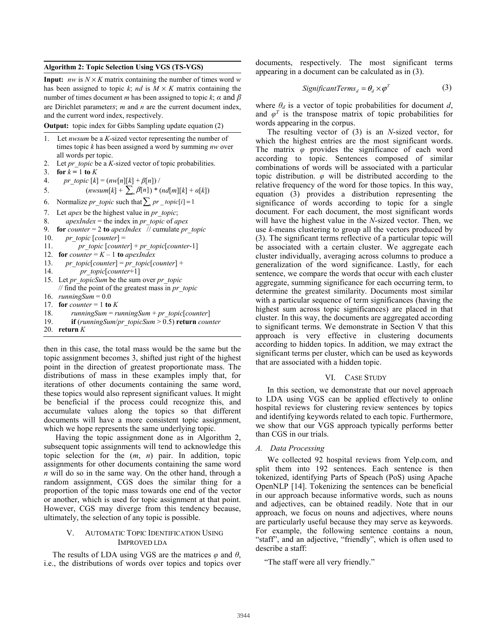#### **Algorithm 2: Topic Selection Using VGS (TS-VGS)**

**Input:** *nw* is  $N \times K$  matrix containing the number of times word *w* has been assigned to topic  $k$ ; *nd* is  $M \times K$  matrix containing the number of times document *m* has been assigned to topic  $k$ ;  $\alpha$  and  $\beta$ are Dirichlet parameter*s*; *m* and *n* are the current document index, and the current word index, respectively.

**Output:** topic index for Gibbs Sampling update equation (2)

- 1. Let *nwsum* be a *K*-sized vector representing the number of times topic *k* has been assigned a word by summing *nw* over all words per topic.
- 2. Let *pr\_topic* be a *K*-sized vector of topic probabilities.
- 3. **for**  $k = 1$  **to**  $K$
- 4. *pr\_topic*  $[k] = (nw[n][k] + \beta[n])$  /
- 5.  $(nwsum[k] + \sum_{n} \beta[n]) * (nd[m][k] + a[k])$
- 6. Normalize *pr\_topic* such that  $\sum_i pr\_topic[i] = 1$
- 7. Let *apex* be the highest value in *pr\_topic*;
- 8. *apexIndex* = the index in *pr\_topic* of *apex*
- 9. **for** *counter* = 2 **to** *apexIndex* // cumulate *pr topic*
- 10. *pr\_topic*  $[counter] =$
- 11. *pr\_topic* [*counter*] + *pr\_topic*[*counter*-1]
- 12. **for** *counter* =  $K 1$  **to** *apexIndex*
- 13. *pr\_topic*[*counter*] = *pr\_topic*[*counter*] +
- 14. *pr\_topic*[*counter*+1]
- 15. Let *pr\_topicSum* be the sum over *pr\_topic* // find the point of the greatest mass in *pr\_topic*
- 16. *runningSum* = 0.0
- 17. **for** *counter* = 1 **to**  $K$
- 18. *runningSum* = *runningSum* + *pr\_topic*[*counter*]
- 19. **if** (*runningSum*/*pr\_topicSum* > 0.5) **return** *counter*
- 20. **return** *K*

then in this case, the total mass would be the same but the topic assignment becomes 3, shifted just right of the highest point in the direction of greatest proportionate mass. The distributions of mass in these examples imply that, for iterations of other documents containing the same word, these topics would also represent significant values. It might be beneficial if the process could recognize this, and accumulate values along the topics so that different documents will have a more consistent topic assignment, which we hope represents the same underlying topic.

Having the topic assignment done as in Algorithm 2, subsequent topic assignments will tend to acknowledge this topic selection for the (*m*, *n*) pair. In addition, topic assignments for other documents containing the same word *n* will do so in the same way. On the other hand, through a random assignment, CGS does the similar thing for a proportion of the topic mass towards one end of the vector or another, which is used for topic assignment at that point. However, CGS may diverge from this tendency because, ultimately, the selection of any topic is possible.

#### V. AUTOMATIC TOPIC IDENTIFICATION USING IMPROVED LDA

The results of LDA using VGS are the matrices *φ* and *θ*, i.e., the distributions of words over topics and topics over documents, respectively. The most significant terms appearing in a document can be calculated as in (3).

$$
SignificantTerms_{d} = \theta_{d} \times \varphi^{T}
$$
 (3)

where  $\theta_d$  is a vector of topic probabilities for document  $d$ , and  $\varphi^T$  is the transpose matrix of topic probabilities for words appearing in the corpus.

The resulting vector of (3) is an *N*-sized vector, for which the highest entries are the most significant words. The matrix *φ* provides the significance of each word according to topic. Sentences composed of similar combinations of words will be associated with a particular topic distribution. *φ* will be distributed according to the relative frequency of the word for those topics. In this way, equation (3) provides a distribution representing the significance of words according to topic for a single document. For each document, the most significant words will have the highest value in the *N*-sized vector. Then, we use *k*-means clustering to group all the vectors produced by (3). The significant terms reflective of a particular topic will be associated with a certain cluster. We aggregate each cluster individually, averaging across columns to produce a generalization of the word significance. Lastly, for each sentence, we compare the words that occur with each cluster aggregate, summing significance for each occurring term, to determine the greatest similarity. Documents most similar with a particular sequence of term significances (having the highest sum across topic significances) are placed in that cluster. In this way, the documents are aggregated according to significant terms. We demonstrate in Section V that this approach is very effective in clustering documents according to hidden topics. In addition, we may extract the significant terms per cluster, which can be used as keywords that are associated with a hidden topic.

#### VI. CASE STUDY

In this section, we demonstrate that our novel approach to LDA using VGS can be applied effectively to online hospital reviews for clustering review sentences by topics and identifying keywords related to each topic. Furthermore, we show that our VGS approach typically performs better than CGS in our trials.

#### *A. Data Processing*

We collected 92 hospital reviews from Yelp.com, and split them into 192 sentences. Each sentence is then tokenized, identifying Parts of Speach (PoS) using Apache OpenNLP [14]. Tokenizing the sentences can be beneficial in our approach because informative words, such as nouns and adjectives, can be obtained readily. Note that in our approach, we focus on nouns and adjectives, where nouns are particularly useful because they may serve as keywords. For example, the following sentence contains a noun, "staff", and an adjective, "friendly", which is often used to describe a staff:

"The staff were all very friendly."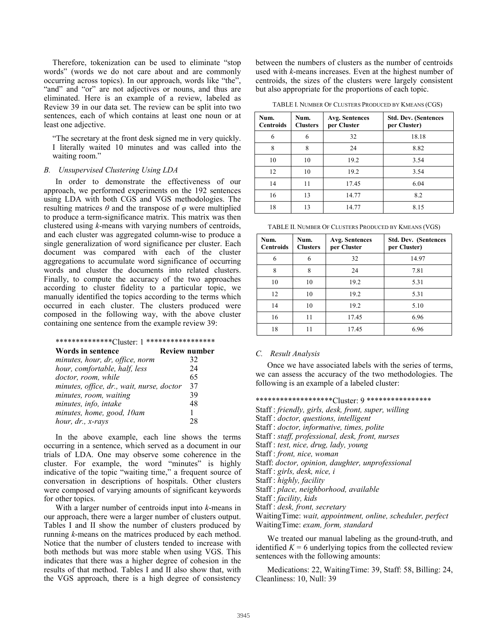Therefore, tokenization can be used to eliminate "stop words" (words we do not care about and are commonly occurring across topics). In our approach, words like "the", "and" and "or" are not adjectives or nouns, and thus are eliminated. Here is an example of a review, labeled as Review 39 in our data set. The review can be split into two sentences, each of which contains at least one noun or at least one adjective.

"The secretary at the front desk signed me in very quickly. I literally waited 10 minutes and was called into the waiting room."

## *B. Unsupervised Clustering Using LDA*

In order to demonstrate the effectiveness of our approach, we performed experiments on the 192 sentences using LDA with both CGS and VGS methodologies. The resulting matrices  $\theta$  and the transpose of  $\varphi$  were multiplied to produce a term-significance matrix. This matrix was then clustered using *k*-means with varying numbers of centroids, and each cluster was aggregated column-wise to produce a single generalization of word significance per cluster. Each document was compared with each of the cluster aggregations to accumulate word significance of occurring words and cluster the documents into related clusters. Finally, to compute the accuracy of the two approaches according to cluster fidelity to a particular topic, we manually identified the topics according to the terms which occurred in each cluster. The clusters produced were composed in the following way, with the above cluster containing one sentence from the example review 39:

#### \*\*\*\*\*\*\*\*\*\*\*\*\*\*Cluster: 1 \*\*\*\*\*\*\*\*\*\*\*\*\*\*\*\*\*

| Words in sentence                         | <b>Review number</b> |
|-------------------------------------------|----------------------|
| minutes, hour, dr, office, norm           | 32                   |
| hour, comfortable, half, less             | 24                   |
| doctor, room, while                       | 65                   |
| minutes, office, dr., wait, nurse, doctor | 37                   |
| minutes, room, waiting                    | 39                   |
| minutes, info, intake                     | 48                   |
| minutes, home, good, 10am                 |                      |
| hour, dr., x-rays                         | 28                   |

In the above example, each line shows the terms occurring in a sentence, which served as a document in our trials of LDA. One may observe some coherence in the cluster. For example, the word "minutes" is highly indicative of the topic "waiting time," a frequent source of conversation in descriptions of hospitals. Other clusters were composed of varying amounts of significant keywords for other topics.

With a larger number of centroids input into *k*-means in our approach, there were a larger number of clusters output. Tables I and II show the number of clusters produced by running *k*-means on the matrices produced by each method. Notice that the number of clusters tended to increase with both methods but was more stable when using VGS. This indicates that there was a higher degree of cohesion in the results of that method. Tables I and II also show that, with the VGS approach, there is a high degree of consistency

between the numbers of clusters as the number of centroids used with *k*-means increases. Even at the highest number of centroids, the sizes of the clusters were largely consistent but also appropriate for the proportions of each topic.

TABLE I. NUMBER OF CLUSTERS PRODUCED BY KMEANS (CGS)

| Num.<br><b>Centroids</b> | Num.<br><b>Clusters</b> | Avg. Sentences<br>per Cluster | <b>Std. Dev. (Sentences</b><br>per Cluster) |
|--------------------------|-------------------------|-------------------------------|---------------------------------------------|
| 6                        | 6                       | 32                            | 18.18                                       |
| 8                        | 8                       | 24                            | 8.82                                        |
| 10                       | 10                      | 19.2                          | 3.54                                        |
| 12                       | 10                      | 19.2                          | 3.54                                        |
| 14                       | 11                      | 17.45                         | 6.04                                        |
| 16                       | 13                      | 14.77                         | 8.2                                         |
| 18                       | 13                      | 14.77<br>8.15                 |                                             |

TABLE II. NUMBER OF CLUSTERS PRODUCED BY KMEANS (VGS)

| Num.<br><b>Centroids</b> | Num.<br><b>Clusters</b> | Avg. Sentences<br>per Cluster | <b>Std. Dev. (Sentences</b><br>per Cluster) |
|--------------------------|-------------------------|-------------------------------|---------------------------------------------|
| 6                        | 6                       | 32                            | 14.97                                       |
| 8                        | 8                       | 24                            | 7.81                                        |
| 10                       | 10                      | 19.2                          | 5.31                                        |
| 12                       | 10                      | 19.2<br>5.31                  |                                             |
| 14                       | 10                      | 19.2<br>5.10                  |                                             |
| 16                       | 11                      | 17.45<br>6.96                 |                                             |
| 18                       |                         | 17.45<br>6.96                 |                                             |

#### *C. Result Analysis*

Once we have associated labels with the series of terms, we can assess the accuracy of the two methodologies. The following is an example of a labeled cluster:

#### \*\*\*\*\*\*\*\*\*\*\*\*\*\*\*\*\*\*\*Cluster: 9 \*\*\*\*\*\*\*\*\*\*\*\*\*\*\*\*

Staff : *friendly, girls, desk, front, super, willing*

Staff : *doctor, questions, intelligent* 

Staff : *doctor, informative, times, polite* 

Staff : *staff, professional, desk, front, nurses* 

Staff : *test, nice, drug, lady, young*

Staff : *front, nice, woman*

Staff: *doctor, opinion, daughter, unprofessional*

Staff : *girls, desk, nice, i* 

Staff : *highly, facility*

Staff : *place, neighborhood, available*

Staff : *facility, kids*

Staff : *desk, front, secretary*

WaitingTime: *wait, appointment, online, scheduler, perfect* WaitingTime: *exam, form, standard*

We treated our manual labeling as the ground-truth, and identified  $K = 6$  underlying topics from the collected review sentences with the following amounts:

Medications: 22, WaitingTime: 39, Staff: 58, Billing: 24, Cleanliness: 10, Null: 39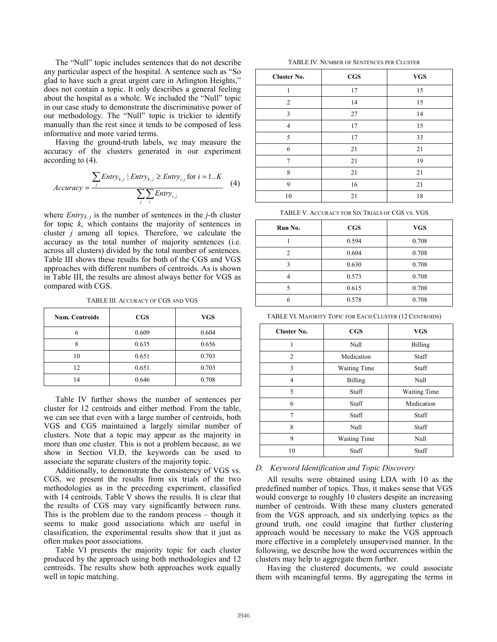The "Null" topic includes sentences that do not describe any particular aspect of the hospital. A sentence such as "So glad to have such a great urgent care in Arlington Heights," does not contain a topic. It only describes a general feeling about the hospital as a whole. We included the "Null" topic in our case study to demonstrate the discriminative power of our methodology. The "Null" topic is trickier to identify manually than the rest since it tends to be composed of less informative and more varied terms.

Having the ground-truth labels, we may measure the accuracy of the clusters generated in our experiment according to (4).

$$
Accuracy = \frac{\sum \text{Entropy}_{k,j} | \text{Entry}_{k,j} \geq \text{Entry}_{i,j} \text{ for } i = 1..K}{\sum_{j} \sum_{i} \text{Entry}_{i,j}}
$$
 (4)

where *Entry<sub>k, j</sub>* is the number of sentences in the *j*-th cluster for topic *k*, which contains the majority of sentences in cluster *j* among all topics. Therefore, we calculate the accuracy as the total number of majority sentences (i.e. across all clusters) divided by the total number of sentences. Table III shows these results for both of the CGS and VGS approaches with different numbers of centroids. As is shown in Table III, the results are almost always better for VGS as compared with CGS.

TABLE III. ACCURACY OF CGS AND VGS

| <b>Num. Centroids</b> | $_{\rm CGS}$ | <b>VGS</b> |
|-----------------------|--------------|------------|
| 6                     | 0.609        | 0.604      |
| $\circ$               | 0.635        | 0.656      |
| 10                    | 0.651        | 0.703      |
| 12                    | 0.651        | 0.703      |
| 14                    | 0.646        | 0.708      |

Table IV further shows the number of sentences per cluster for 12 centroids and either method. From the table, we can see that even with a large number of centroids, both VGS and CGS maintained a largely similar number of clusters. Note that a topic may appear as the majority in more than one cluster. This is not a problem because, as we show in Section VI.D, the keywords can be used to associate the separate clusters of the majority topic.

Additionally, to demonstrate the consistency of VGS vs. CGS, we present the results from six trials of the two methodologies as in the preceding experiment, classified with 14 centroids. Table V shows the results. It is clear that the results of CGS may vary significantly between runs. This is the problem due to the random process – though it seems to make good associations which are useful in classification, the experimental results show that it just as often makes poor associations.

Table VI presents the majority topic for each cluster produced by the approach using both methodologies and 12 centroids. The results show both approaches work equally well in topic matching.

TABLE IV. NUMBER OF SENTENCES PER CLUSTER

| <b>Cluster No.</b> | <b>CGS</b> | <b>VGS</b> |
|--------------------|------------|------------|
| 1                  | 17         | 15         |
| $\overline{2}$     | 14         | 15         |
| 3                  | 27         | 14         |
| $\overline{4}$     | 17         | 15         |
| 5                  | 17         | 33         |
| 6                  | 21         | 21         |
| 7                  | 21         | 19         |
| 8                  | 21         | 21         |
| 9                  | 16         | 21         |
| 10                 | 21         | 18         |

TABLE V. ACCURACY FOR SIX TRIALS OF CGS VS. VGS

| Run No.       | $_{\rm CGS}$ | <b>VGS</b> |  |
|---------------|--------------|------------|--|
|               | 0.594        | 0.708      |  |
| $\mathcal{L}$ | 0.604        | 0.708      |  |
| 3             | 0.630        | 0.708      |  |
|               | 0.573        | 0.708      |  |
|               | 0.615        | 0.708      |  |
| 6             | 0.578        | 0.708      |  |

TABLE VI. MAJORITY TOPIC FOR EACH CLUSTER (12 CENTROIDS)

| <b>Cluster No.</b> | $_{\rm CGS}$                 | <b>VGS</b>     |  |
|--------------------|------------------------------|----------------|--|
| 1                  | Null                         | <b>Billing</b> |  |
| $\overline{2}$     | Medication<br>Staff          |                |  |
| 3                  | <b>Waiting Time</b><br>Staff |                |  |
| 4                  | <b>Billing</b><br>Null       |                |  |
| 5                  | <b>Waiting Time</b><br>Staff |                |  |
| 6                  | Staff                        | Medication     |  |
| 7                  | Staff                        | Staff          |  |
| 8                  | Null                         | Staff          |  |
| 9                  | Null<br><b>Waiting Time</b>  |                |  |
| 10<br>Staff        |                              | Staff          |  |

#### *D. Keyword Identification and Topic Discovery*

All results were obtained using LDA with 10 as the predefined number of topics. Thus, it makes sense that VGS would converge to roughly 10 clusters despite an increasing number of centroids. With these many clusters generated from the VGS approach, and six underlying topics as the ground truth, one could imagine that further clustering approach would be necessary to make the VGS approach more effective in a completely unsupervised manner. In the following, we describe how the word occurrences within the clusters may help to aggregate them further.

Having the clustered documents, we could associate them with meaningful terms. By aggregating the terms in